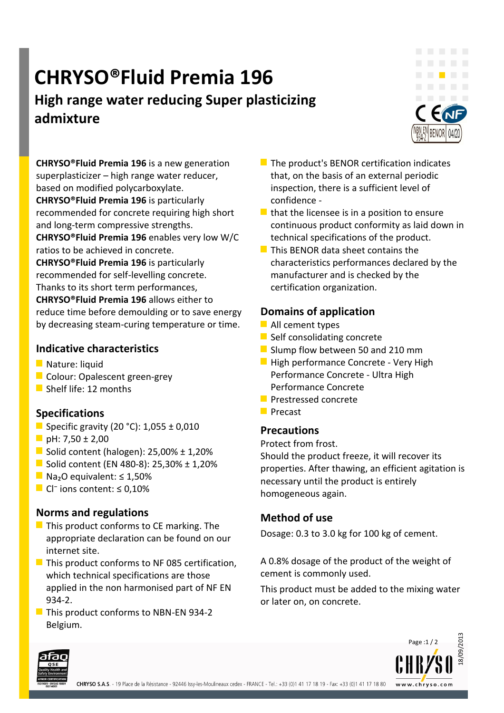## **CHRYSO®Fluid Premia 196**

### **High range water reducing Super plasticizing admixture**



**CHRYSO®Fluid Premia 196** is a new generation superplasticizer – high range water reducer, based on modified polycarboxylate.

**CHRYSO®Fluid Premia 196** is particularly recommended for concrete requiring high short and long-term compressive strengths.

**CHRYSO®Fluid Premia 196** enables very low W/C ratios to be achieved in concrete.

**CHRYSO®Fluid Premia 196** is particularly recommended for self-levelling concrete. Thanks to its short term performances, **CHRYSO®Fluid Premia 196** allows either to reduce time before demoulding or to save energy by decreasing steam-curing temperature or time.

#### **Indicative characteristics**

- **Nature: liquid**
- Colour: Opalescent green-grey
- Shelf life: 12 months

#### **Specifications**

- Specific gravity (20 °C):  $1,055 \pm 0,010$
- **D** pH: 7,50  $\pm$  2,00
- Solid content (halogen):  $25,00\% \pm 1,20\%$
- Solid content (EN 480-8): 25,30% ± 1,20%
- Na<sub>2</sub>O equivalent: ≤ 1,50%
- Cl ions content:  $\leq 0.10\%$

#### **Norms and regulations**

- $\blacksquare$  This product conforms to CE marking. The appropriate declaration can be found on our internet site.
- $\blacksquare$  This product conforms to NF 085 certification. which technical specifications are those applied in the non harmonised part of NF EN 934-2.
- $\blacksquare$  This product conforms to NBN-EN 934-2 Belgium.
- $\blacksquare$  The product's BENOR certification indicates that, on the basis of an external periodic inspection, there is a sufficient level of confidence -
- $\blacksquare$  that the licensee is in a position to ensure continuous product conformity as laid down in technical specifications of the product.
- **This BENOR data sheet contains the** characteristics performances declared by the manufacturer and is checked by the certification organization.

#### **Domains of application**

- **All cement types**
- $\blacksquare$  Self consolidating concrete
- Slump flow between 50 and 210 mm
- **High performance Concrete Very High** Performance Concrete - Ultra High Performance Concrete
- **Prestressed concrete**
- **Precast**

#### **Precautions**

Protect from frost.

Should the product freeze, it will recover its properties. After thawing, an efficient agitation is necessary until the product is entirely homogeneous again.

#### **Method of use**

Dosage: 0.3 to 3.0 kg for 100 kg of cement.

A 0.8% dosage of the product of the weight of cement is commonly used.

This product must be added to the mixing water or later on, on concrete.